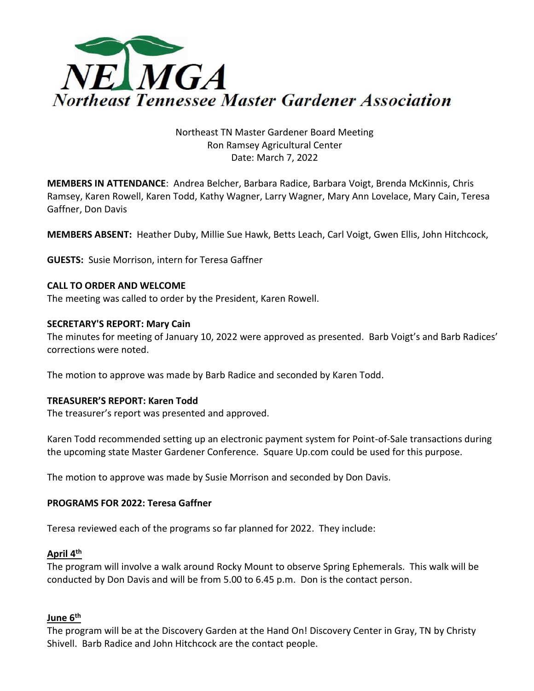

# Northeast TN Master Gardener Board Meeting Ron Ramsey Agricultural Center Date: March 7, 2022

**MEMBERS IN ATTENDANCE**: Andrea Belcher, Barbara Radice, Barbara Voigt, Brenda McKinnis, Chris Ramsey, Karen Rowell, Karen Todd, Kathy Wagner, Larry Wagner, Mary Ann Lovelace, Mary Cain, Teresa Gaffner, Don Davis

**MEMBERS ABSENT:** Heather Duby, Millie Sue Hawk, Betts Leach, Carl Voigt, Gwen Ellis, John Hitchcock,

**GUESTS:** Susie Morrison, intern for Teresa Gaffner

#### **CALL TO ORDER AND WELCOME**

The meeting was called to order by the President, Karen Rowell.

#### **SECRETARY'S REPORT: Mary Cain**

The minutes for meeting of January 10, 2022 were approved as presented. Barb Voigt's and Barb Radices' corrections were noted.

The motion to approve was made by Barb Radice and seconded by Karen Todd.

#### **TREASURER'S REPORT: Karen Todd**

The treasurer's report was presented and approved.

Karen Todd recommended setting up an electronic payment system for Point-of-Sale transactions during the upcoming state Master Gardener Conference. Square Up.com could be used for this purpose.

The motion to approve was made by Susie Morrison and seconded by Don Davis.

### **PROGRAMS FOR 2022: Teresa Gaffner**

Teresa reviewed each of the programs so far planned for 2022. They include:

## **April 4 th**

The program will involve a walk around Rocky Mount to observe Spring Ephemerals. This walk will be conducted by Don Davis and will be from 5.00 to 6.45 p.m. Don is the contact person.

#### **June 6th**

The program will be at the Discovery Garden at the Hand On! Discovery Center in Gray, TN by Christy Shivell. Barb Radice and John Hitchcock are the contact people.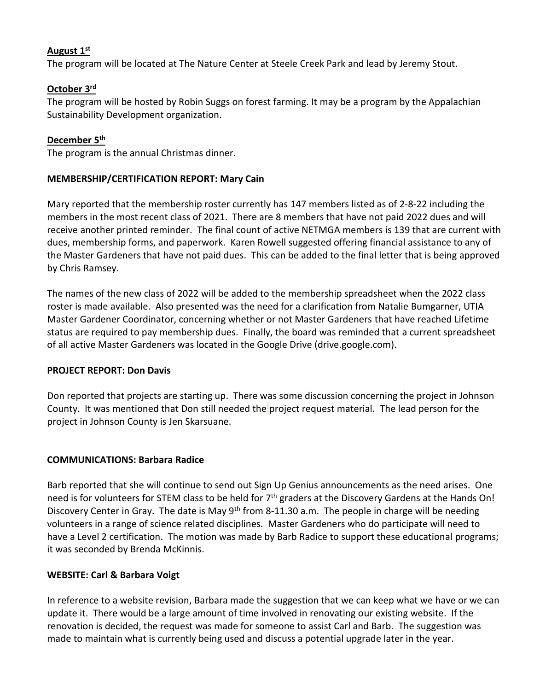### **August 1 st**

The program will be located at The Nature Center at Steele Creek Park and lead by Jeremy Stout.

# **October 3 rd**

The program will be hosted by Robin Suggs on forest farming. It may be a program by the Appalachian Sustainability Development organization.

## **December 5 th**

The program is the annual Christmas dinner.

#### **MEMBERSHIP/CERTIFICATION REPORT: Mary Cain**

Mary reported that the membership roster currently has 147 members listed as of 2-8-22 including the members in the most recent class of 2021. There are 8 members that have not paid 2022 dues and will receive another printed reminder. The final count of active NETMGA members is 139 that are current with dues, membership forms, and paperwork. Karen Rowell suggested offering financial assistance to any of the Master Gardeners that have not paid dues. This can be added to the final letter that is being approved by Chris Ramsey.

The names of the new class of 2022 will be added to the membership spreadsheet when the 2022 class roster is made available. Also presented was the need for a clarification from Natalie Bumgarner, UTIA Master Gardener Coordinator, concerning whether or not Master Gardeners that have reached Lifetime status are required to pay membership dues. Finally, the board was reminded that a current spreadsheet of all active Master Gardeners was located in the Google Drive (drive.google.com).

#### **PROJECT REPORT: Don Davis**

Don reported that projects are starting up. There was some discussion concerning the project in Johnson County. It was mentioned that Don still needed the project request material. The lead person for the project in Johnson County is Jen Skarsuane.

## **COMMUNICATIONS: Barbara Radice**

Barb reported that she will continue to send out Sign Up Genius announcements as the need arises. One need is for volunteers for STEM class to be held for 7<sup>th</sup> graders at the Discovery Gardens at the Hands On! Discovery Center in Gray. The date is May 9<sup>th</sup> from 8-11.30 a.m. The people in charge will be needing volunteers in a range of science related disciplines. Master Gardeners who do participate will need to have a Level 2 certification. The motion was made by Barb Radice to support these educational programs; it was seconded by Brenda McKinnis.

## **WEBSITE: Carl & Barbara Voigt**

In reference to a website revision, Barbara made the suggestion that we can keep what we have or we can update it. There would be a large amount of time involved in renovating our existing website. If the renovation is decided, the request was made for someone to assist Carl and Barb. The suggestion was made to maintain what is currently being used and discuss a potential upgrade later in the year.